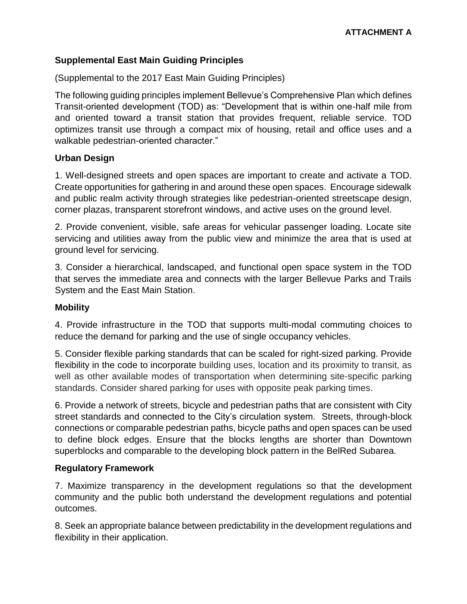# **Supplemental East Main Guiding Principles**

(Supplemental to the 2017 East Main Guiding Principles)

The following guiding principles implement Bellevue's Comprehensive Plan which defines Transit-oriented development (TOD) as: "Development that is within one-half mile from and oriented toward a transit station that provides frequent, reliable service. TOD optimizes transit use through a compact mix of housing, retail and office uses and a walkable pedestrian-oriented character."

### **Urban Design**

1. Well-designed streets and open spaces are important to create and activate a TOD. Create opportunities for gathering in and around these open spaces. Encourage sidewalk and public realm activity through strategies like pedestrian-oriented streetscape design, corner plazas, transparent storefront windows, and active uses on the ground level.

2. Provide convenient, visible, safe areas for vehicular passenger loading. Locate site servicing and utilities away from the public view and minimize the area that is used at ground level for servicing.

3. Consider a hierarchical, landscaped, and functional open space system in the TOD that serves the immediate area and connects with the larger Bellevue Parks and Trails System and the East Main Station.

## **Mobility**

4. Provide infrastructure in the TOD that supports multi-modal commuting choices to reduce the demand for parking and the use of single occupancy vehicles.

5. Consider flexible parking standards that can be scaled for right-sized parking. Provide flexibility in the code to incorporate building uses, location and its proximity to transit, as well as other available modes of transportation when determining site-specific parking standards. Consider shared parking for uses with opposite peak parking times.

6. Provide a network of streets, bicycle and pedestrian paths that are consistent with City street standards and connected to the City's circulation system. Streets, through-block connections or comparable pedestrian paths, bicycle paths and open spaces can be used to define block edges. Ensure that the blocks lengths are shorter than Downtown superblocks and comparable to the developing block pattern in the BelRed Subarea.

#### **Regulatory Framework**

7. Maximize transparency in the development regulations so that the development community and the public both understand the development regulations and potential outcomes.

8. Seek an appropriate balance between predictability in the development regulations and flexibility in their application.